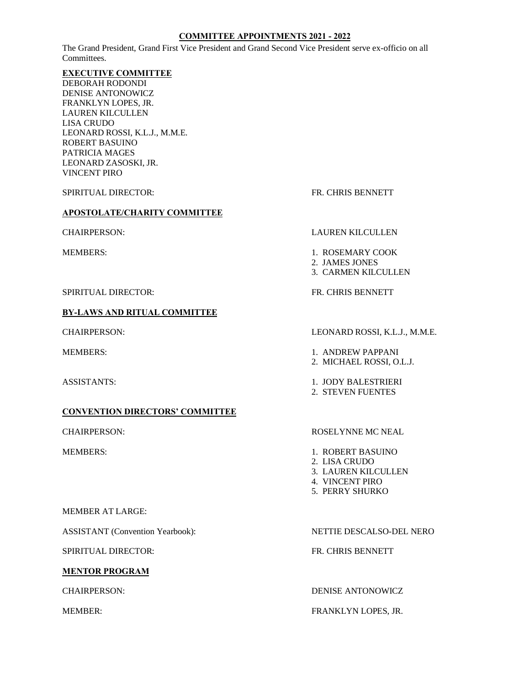### **COMMITTEE APPOINTMENTS 2021 - 2022**

The Grand President, Grand First Vice President and Grand Second Vice President serve ex-officio on all Committees.

### **EXECUTIVE COMMITTEE**

DEBORAH RODONDI DENISE ANTONOWICZ FRANKLYN LOPES, JR. LAUREN KILCULLEN LISA CRUDO LEONARD ROSSI, K.L.J., M.M.E. ROBERT BASUINO PATRICIA MAGES LEONARD ZASOSKI, JR. VINCENT PIRO

SPIRITUAL DIRECTOR: FR. CHRIS BENNETT

### **APOSTOLATE/CHARITY COMMITTEE**

SPIRITUAL DIRECTOR: The SPIRITUAL OIRECTOR: The SPIRITUAL OIRECTOR:

## **BY-LAWS AND RITUAL COMMITTEE**

## **CONVENTION DIRECTORS' COMMITTEE**

### MEMBER AT LARGE:

ASSISTANT (Convention Yearbook): NETTIE DESCALSO-DEL NERO

SPIRITUAL DIRECTOR: FR. CHRIS BENNETT

### **MENTOR PROGRAM**

### CHAIRPERSON: LAUREN KILCULLEN

- MEMBERS: 1. ROSEMARY COOK
	- 2. JAMES JONES
	- 3. CARMEN KILCULLEN

### CHAIRPERSON: LEONARD ROSSI, K.L.J., M.M.E.

- MEMBERS: 1. ANDREW PAPPANI
	- 2. MICHAEL ROSSI, O.L.J.
- ASSISTANTS: 1. JODY BALESTRIERI
	- 2. STEVEN FUENTES

### CHAIRPERSON: ROSELYNNE MC NEAL

- MEMBERS: 1. ROBERT BASUINO
	- 2. LISA CRUDO
	- 3. LAUREN KILCULLEN
	- 4. VINCENT PIRO
	- 5. PERRY SHURKO

CHAIRPERSON: DENISE ANTONOWICZ

### MEMBER: FRANKLYN LOPES, JR.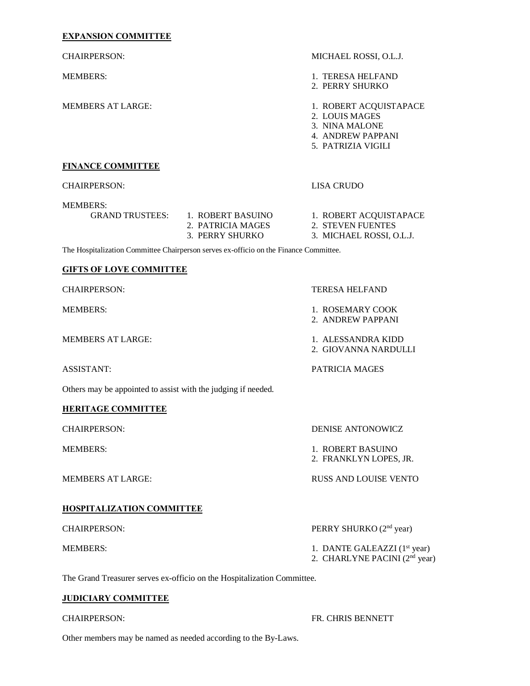## **EXPANSION COMMITTEE**

| <b>CHAIRPERSON:</b>                                           |                                                                                       | MICHAEL ROSSI, O.L.J.                                                                                 |
|---------------------------------------------------------------|---------------------------------------------------------------------------------------|-------------------------------------------------------------------------------------------------------|
| <b>MEMBERS:</b>                                               |                                                                                       | 1. TERESA HELFAND<br>2. PERRY SHURKO                                                                  |
| <b>MEMBERS AT LARGE:</b>                                      |                                                                                       | 1. ROBERT ACQUISTAPACE<br>2. LOUIS MAGES<br>3. NINA MALONE<br>4. ANDREW PAPPANI<br>5. PATRIZIA VIGILI |
| <b>FINANCE COMMITTEE</b>                                      |                                                                                       |                                                                                                       |
| <b>CHAIRPERSON:</b>                                           |                                                                                       | <b>LISA CRUDO</b>                                                                                     |
| <b>MEMBERS:</b>                                               | GRAND TRUSTEES: 1. ROBERT BASUINO<br>2. PATRICIA MAGES<br>3. PERRY SHURKO             | 1. ROBERT ACQUISTAPACE<br>2. STEVEN FUENTES<br>3. MICHAEL ROSSI, O.L.J.                               |
|                                                               | The Hospitalization Committee Chairperson serves ex-officio on the Finance Committee. |                                                                                                       |
| <b>GIFTS OF LOVE COMMITTEE</b>                                |                                                                                       |                                                                                                       |
| <b>CHAIRPERSON:</b>                                           |                                                                                       | <b>TERESA HELFAND</b>                                                                                 |
| <b>MEMBERS:</b>                                               |                                                                                       | 1. ROSEMARY COOK<br>2. ANDREW PAPPANI                                                                 |
| <b>MEMBERS AT LARGE:</b>                                      |                                                                                       | 1. ALESSANDRA KIDD<br>2. GIOVANNA NARDULLI                                                            |
| <b>ASSISTANT:</b>                                             |                                                                                       | PATRICIA MAGES                                                                                        |
| Others may be appointed to assist with the judging if needed. |                                                                                       |                                                                                                       |
| <b>HERITAGE COMMITTEE</b>                                     |                                                                                       |                                                                                                       |
| <b>CHAIRPERSON:</b>                                           |                                                                                       | DENISE ANTONOWICZ                                                                                     |
| <b>MEMBERS:</b>                                               |                                                                                       | 1. ROBERT BASUINO<br>2. FRANKLYN LOPES, JR.                                                           |
| <b>MEMBERS AT LARGE:</b>                                      |                                                                                       | <b>RUSS AND LOUISE VENTO</b>                                                                          |
| <b>HOSPITALIZATION COMMITTEE</b>                              |                                                                                       |                                                                                                       |
| <b>CHAIRPERSON:</b>                                           |                                                                                       | PERRY SHURKO (2 <sup>nd</sup> year)                                                                   |
| <b>MEMBERS:</b>                                               |                                                                                       | 1. DANTE GALEAZZI (1 <sup>st</sup> year)<br>2. CHARLYNE PACINI (2 <sup>nd</sup> year)                 |

The Grand Treasurer serves ex-officio on the Hospitalization Committee.

## **JUDICIARY COMMITTEE**

CHAIRPERSON: FR. CHRIS BENNETT

Other members may be named as needed according to the By-Laws.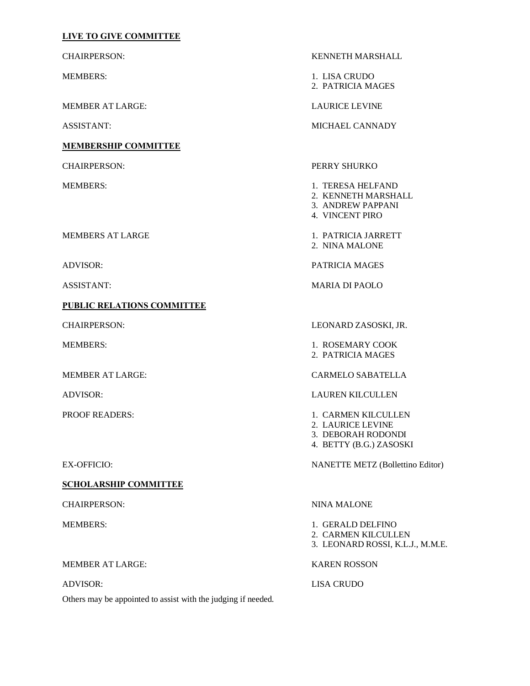## **LIVE TO GIVE COMMITTEE**

MEMBER AT LARGE: LAURICE LEVINE

**MEMBERSHIP COMMITTEE**

**PUBLIC RELATIONS COMMITTEE**

**SCHOLARSHIP COMMITTEE**

CHAIRPERSON: NINA MALONE

MEMBER AT LARGE: KAREN ROSSON

ADVISOR: LISA CRUDO Others may be appointed to assist with the judging if needed.

CHAIRPERSON: KENNETH MARSHALL

MEMBERS: 1. LISA CRUDO 2. PATRICIA MAGES

ASSISTANT: MICHAEL CANNADY

CHAIRPERSON: PERRY SHURKO

- MEMBERS: 1. TERESA HELFAND
	- 2. KENNETH MARSHALL
	- 3. ANDREW PAPPANI
	- 4. VINCENT PIRO

MEMBERS AT LARGE 1. PATRICIA JARRETT

2. NINA MALONE

ADVISOR: PATRICIA MAGES

ASSISTANT: MARIA DI PAOLO

CHAIRPERSON: LEONARD ZASOSKI, JR.

MEMBERS: 1. ROSEMARY COOK 2. PATRICIA MAGES

MEMBER AT LARGE: CARMELO SABATELLA

ADVISOR: LAUREN KILCULLEN

- PROOF READERS: 1. CARMEN KILCULLEN
	- 2. LAURICE LEVINE
	- 3. DEBORAH RODONDI
	- 4. BETTY (B.G.) ZASOSKI

EX-OFFICIO: NANETTE METZ (Bollettino Editor)

- MEMBERS: 1. GERALD DELFINO 2. CARMEN KILCULLEN
	- 3. LEONARD ROSSI, K.L.J., M.M.E.